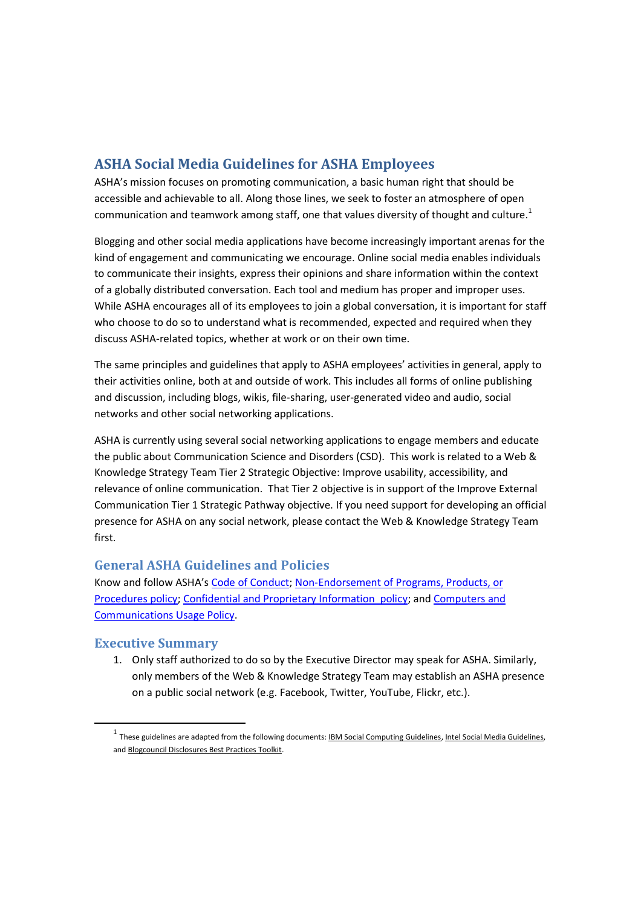## **ASHA Social Media Guidelines for ASHA Employees**

ASHA's mission focuses on promoting communication, a basic human right that should be accessible and achievable to all. Along those lines, we seek to foster an atmosphere of open communication and teamwork among staff, one that values diversity of thought and culture.<sup>1</sup>

Blogging and other social media applications have become increasingly important arenas for the kind of engagement and communicating we encourage. Online social media enables individuals to communicate their insights, express their opinions and share information within the context of a globally distributed conversation. Each tool and medium has proper and improper uses. While ASHA encourages all of its employees to join a global conversation, it is important for staff who choose to do so to understand what is recommended, expected and required when they discuss ASHA-related topics, whether at work or on their own time.

The same principles and guidelines that apply to ASHA employees' activities in general, apply to their activities online, both at and outside of work. This includes all forms of online publishing and discussion, including blogs, wikis, file-sharing, user-generated video and audio, social networks and other social networking applications.

ASHA is currently using several social networking applications to engage members and educate the public about Communication Science and Disorders (CSD). This work is related to a Web & Knowledge Strategy Team Tier 2 Strategic Objective: Improve usability, accessibility, and relevance of online communication. That Tier 2 objective is in support of the Improve External Communication Tier 1 Strategic Pathway objective. If you need support for developing an official presence for ASHA on any social network, please contact the Web & Knowledge Strategy Team first.

## **General ASHA Guidelines and Policies**

Know and follow ASHA's Code of Conduct; Non-Endorsement of Programs, Products, or Procedures policy; Confidential and Proprietary Information policy; and Computers and Communications Usage Policy.

## **Executive Summary**

1. Only staff authorized to do so by the Executive Director may speak for ASHA. Similarly, only members of the Web & Knowledge Strategy Team may establish an ASHA presence on a public social network (e.g. Facebook, Twitter, YouTube, Flickr, etc.).

<sup>&</sup>lt;sup>1</sup> These guidelines are adapted from the following documents: <u>IBM Social Computing Guidelines, Intel Social Media Guidelines</u>, and Blogcouncil Disclosures Best Practices Toolkit.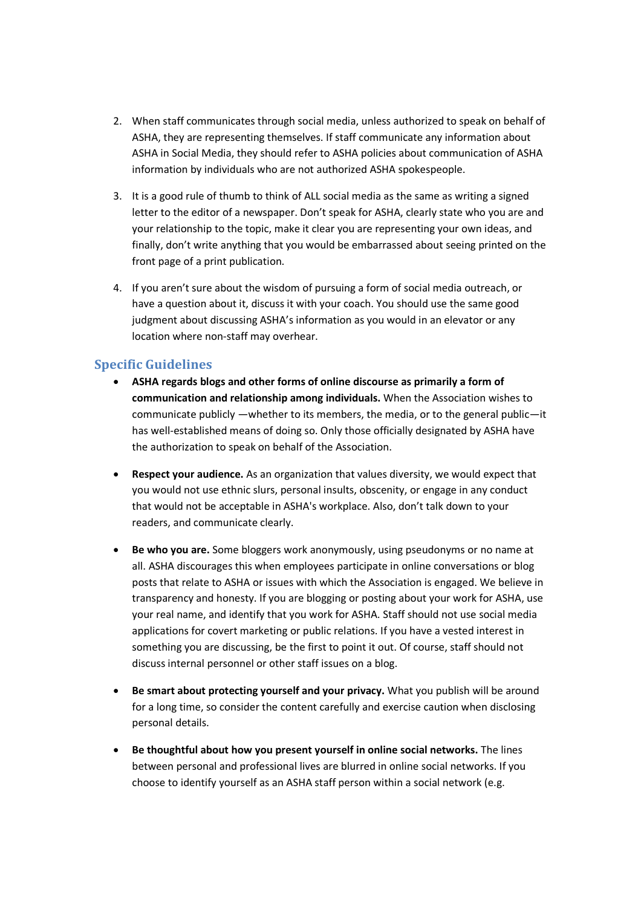- 2. When staff communicates through social media, unless authorized to speak on behalf of ASHA, they are representing themselves. If staff communicate any information about ASHA in Social Media, they should refer to ASHA policies about communication of ASHA information by individuals who are not authorized ASHA spokespeople.
- 3. It is a good rule of thumb to think of ALL social media as the same as writing a signed letter to the editor of a newspaper. Don't speak for ASHA, clearly state who you are and your relationship to the topic, make it clear you are representing your own ideas, and finally, don't write anything that you would be embarrassed about seeing printed on the front page of a print publication.
- 4. If you aren't sure about the wisdom of pursuing a form of social media outreach, or have a question about it, discuss it with your coach. You should use the same good judgment about discussing ASHA's information as you would in an elevator or any location where non-staff may overhear.

## **Specific Guidelines**

- **ASHA regards blogs and other forms of online discourse as primarily a form of communication and relationship among individuals.** When the Association wishes to communicate publicly —whether to its members, the media, or to the general public—it has well-established means of doing so. Only those officially designated by ASHA have the authorization to speak on behalf of the Association.
- **Respect your audience.** As an organization that values diversity, we would expect that you would not use ethnic slurs, personal insults, obscenity, or engage in any conduct that would not be acceptable in ASHA's workplace. Also, don't talk down to your readers, and communicate clearly.
- **Be who you are.** Some bloggers work anonymously, using pseudonyms or no name at all. ASHA discourages this when employees participate in online conversations or blog posts that relate to ASHA or issues with which the Association is engaged. We believe in transparency and honesty. If you are blogging or posting about your work for ASHA, use your real name, and identify that you work for ASHA. Staff should not use social media applications for covert marketing or public relations. If you have a vested interest in something you are discussing, be the first to point it out. Of course, staff should not discuss internal personnel or other staff issues on a blog.
- **Be smart about protecting yourself and your privacy.** What you publish will be around for a long time, so consider the content carefully and exercise caution when disclosing personal details.
- **Be thoughtful about how you present yourself in online social networks.** The lines between personal and professional lives are blurred in online social networks. If you choose to identify yourself as an ASHA staff person within a social network (e.g.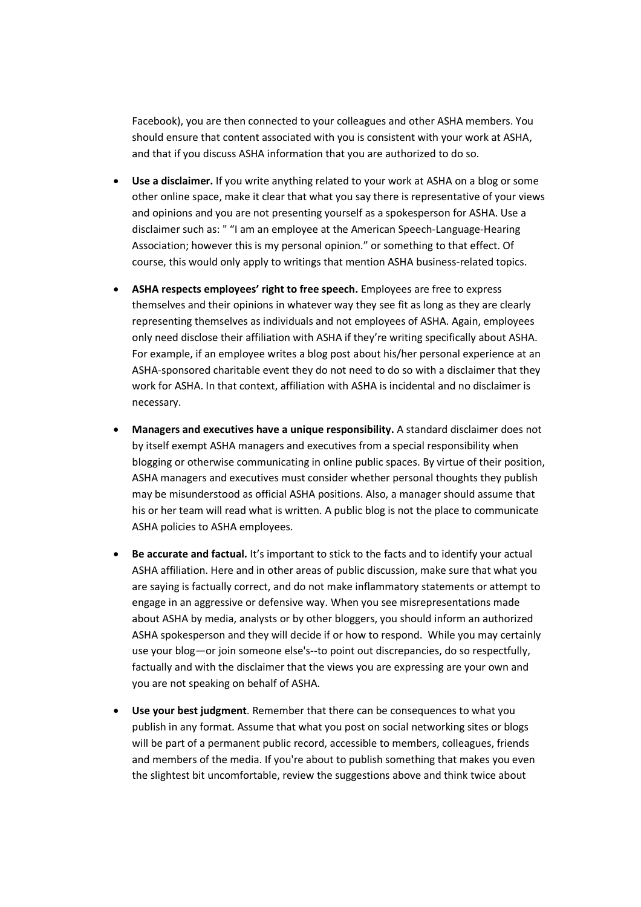Facebook), you are then connected to your colleagues and other ASHA members. You should ensure that content associated with you is consistent with your work at ASHA, and that if you discuss ASHA information that you are authorized to do so.

- **Use a disclaimer.** If you write anything related to your work at ASHA on a blog or some other online space, make it clear that what you say there is representative of your views and opinions and you are not presenting yourself as a spokesperson for ASHA. Use a disclaimer such as: " "I am an employee at the American Speech-Language-Hearing Association; however this is my personal opinion." or something to that effect. Of course, this would only apply to writings that mention ASHA business-related topics.
- **ASHA respects employees' right to free speech.** Employees are free to express themselves and their opinions in whatever way they see fit as long as they are clearly representing themselves as individuals and not employees of ASHA. Again, employees only need disclose their affiliation with ASHA if they're writing specifically about ASHA. For example, if an employee writes a blog post about his/her personal experience at an ASHA-sponsored charitable event they do not need to do so with a disclaimer that they work for ASHA. In that context, affiliation with ASHA is incidental and no disclaimer is necessary.
- **Managers and executives have a unique responsibility.** A standard disclaimer does not by itself exempt ASHA managers and executives from a special responsibility when blogging or otherwise communicating in online public spaces. By virtue of their position, ASHA managers and executives must consider whether personal thoughts they publish may be misunderstood as official ASHA positions. Also, a manager should assume that his or her team will read what is written. A public blog is not the place to communicate ASHA policies to ASHA employees.
- **Be accurate and factual.** It's important to stick to the facts and to identify your actual ASHA affiliation. Here and in other areas of public discussion, make sure that what you are saying is factually correct, and do not make inflammatory statements or attempt to engage in an aggressive or defensive way. When you see misrepresentations made about ASHA by media, analysts or by other bloggers, you should inform an authorized ASHA spokesperson and they will decide if or how to respond. While you may certainly use your blog—or join someone else's--to point out discrepancies, do so respectfully, factually and with the disclaimer that the views you are expressing are your own and you are not speaking on behalf of ASHA.
- **Use your best judgment**. Remember that there can be consequences to what you publish in any format. Assume that what you post on social networking sites or blogs will be part of a permanent public record, accessible to members, colleagues, friends and members of the media. If you're about to publish something that makes you even the slightest bit uncomfortable, review the suggestions above and think twice about